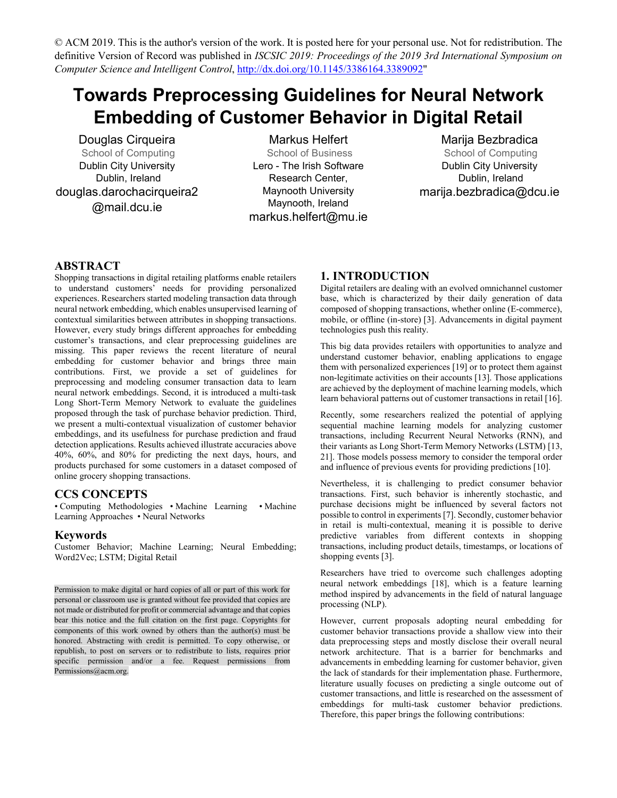# **Towards Preprocessing Guidelines for Neural Network Embedding of Customer Behavior in Digital Retail**

Douglas Cirqueira School of Computing Dublin City University Dublin, Ireland douglas.darochacirqueira2 @mail.dcu.ie

Markus Helfert School of Business Lero - The Irish Software Research Center, Maynooth University Maynooth, Ireland markus.helfert@mu.ie

# Marija Bezbradica

School of Computing Dublin City University Dublin, Ireland marija.bezbradica@dcu.ie

### **ABSTRACT**

Shopping transactions in digital retailing platforms enable retailers to understand customers' needs for providing personalized experiences. Researchers started modeling transaction data through neural network embedding, which enables unsupervised learning of contextual similarities between attributes in shopping transactions. However, every study brings different approaches for embedding customer's transactions, and clear preprocessing guidelines are missing. This paper reviews the recent literature of neural embedding for customer behavior and brings three main contributions. First, we provide a set of guidelines for preprocessing and modeling consumer transaction data to learn neural network embeddings. Second, it is introduced a multi-task Long Short-Term Memory Network to evaluate the guidelines proposed through the task of purchase behavior prediction. Third, we present a multi-contextual visualization of customer behavior embeddings, and its usefulness for purchase prediction and fraud detection applications. Results achieved illustrate accuracies above 40%, 60%, and 80% for predicting the next days, hours, and products purchased for some customers in a dataset composed of online grocery shopping transactions.

# **CCS CONCEPTS**

• Computing Methodologies • Machine Learning • Machine Learning Approaches • Neural Networks

#### **Keywords**

Customer Behavior; Machine Learning; Neural Embedding; Word2Vec; LSTM; Digital Retail

Permission to make digital or hard copies of all or part of this work for personal or classroom use is granted without fee provided that copies are not made or distributed for profit or commercial advantage and that copies bear this notice and the full citation on the first page. Copyrights for components of this work owned by others than the author(s) must be honored. Abstracting with credit is permitted. To copy otherwise, or republish, to post on servers or to redistribute to lists, requires prior specific permission and/or a fee. Request permissions from Permissions@acm.org.

# **1. INTRODUCTION**

Digital retailers are dealing with an evolved omnichannel customer base, which is characterized by their daily generation of data composed of shopping transactions, whether online (E-commerce), mobile, or offline (in-store) [3]. Advancements in digital payment technologies push this reality.

This big data provides retailers with opportunities to analyze and understand customer behavior, enabling applications to engage them with personalized experiences [19] or to protect them against non-legitimate activities on their accounts [13]. Those applications are achieved by the deployment of machine learning models, which learn behavioral patterns out of customer transactions in retail [16].

Recently, some researchers realized the potential of applying sequential machine learning models for analyzing customer transactions, including Recurrent Neural Networks (RNN), and their variants as Long Short-Term Memory Networks (LSTM) [13, 21]. Those models possess memory to consider the temporal order and influence of previous events for providing predictions [10].

Nevertheless, it is challenging to predict consumer behavior transactions. First, such behavior is inherently stochastic, and purchase decisions might be influenced by several factors not possible to control in experiments [7]. Secondly, customer behavior in retail is multi-contextual, meaning it is possible to derive predictive variables from different contexts in shopping transactions, including product details, timestamps, or locations of shopping events [3].

Researchers have tried to overcome such challenges adopting neural network embeddings [18], which is a feature learning method inspired by advancements in the field of natural language processing (NLP).

However, current proposals adopting neural embedding for customer behavior transactions provide a shallow view into their data preprocessing steps and mostly disclose their overall neural network architecture. That is a barrier for benchmarks and advancements in embedding learning for customer behavior, given the lack of standards for their implementation phase. Furthermore, literature usually focuses on predicting a single outcome out of customer transactions, and little is researched on the assessment of embeddings for multi-task customer behavior predictions. Therefore, this paper brings the following contributions: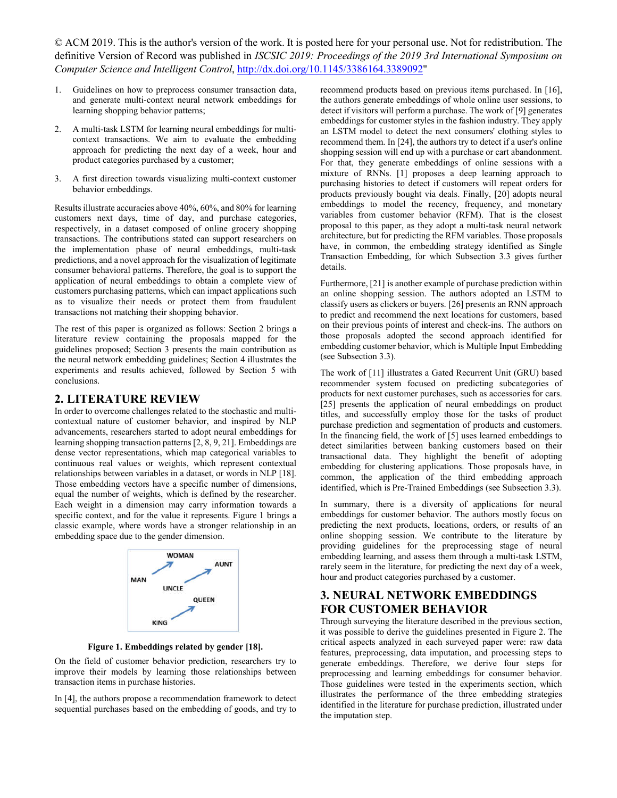- 1. Guidelines on how to preprocess consumer transaction data, and generate multi-context neural network embeddings for learning shopping behavior patterns;
- 2. A multi-task LSTM for learning neural embeddings for multicontext transactions. We aim to evaluate the embedding approach for predicting the next day of a week, hour and product categories purchased by a customer;
- 3. A first direction towards visualizing multi-context customer behavior embeddings.

Results illustrate accuracies above 40%, 60%, and 80% for learning customers next days, time of day, and purchase categories, respectively, in a dataset composed of online grocery shopping transactions. The contributions stated can support researchers on the implementation phase of neural embeddings, multi-task predictions, and a novel approach for the visualization of legitimate consumer behavioral patterns. Therefore, the goal is to support the application of neural embeddings to obtain a complete view of customers purchasing patterns, which can impact applications such as to visualize their needs or protect them from fraudulent transactions not matching their shopping behavior.

The rest of this paper is organized as follows: Section 2 brings a literature review containing the proposals mapped for the guidelines proposed; Section 3 presents the main contribution as the neural network embedding guidelines; Section 4 illustrates the experiments and results achieved, followed by Section 5 with conclusions.

#### **2. LITERATURE REVIEW**

In order to overcome challenges related to the stochastic and multicontextual nature of customer behavior, and inspired by NLP advancements, researchers started to adopt neural embeddings for learning shopping transaction patterns [2, 8, 9, 21]. Embeddings are dense vector representations, which map categorical variables to continuous real values or weights, which represent contextual relationships between variables in a dataset, or words in NLP [18]. Those embedding vectors have a specific number of dimensions, equal the number of weights, which is defined by the researcher. Each weight in a dimension may carry information towards a specific context, and for the value it represents. Figure 1 brings a classic example, where words have a stronger relationship in an embedding space due to the gender dimension.



**Figure 1. Embeddings related by gender [18].**

On the field of customer behavior prediction, researchers try to improve their models by learning those relationships between transaction items in purchase histories.

In [4], the authors propose a recommendation framework to detect sequential purchases based on the embedding of goods, and try to

recommend products based on previous items purchased. In [16], the authors generate embeddings of whole online user sessions, to detect if visitors will perform a purchase. The work of [9] generates embeddings for customer styles in the fashion industry. They apply an LSTM model to detect the next consumers' clothing styles to recommend them. In [24], the authors try to detect if a user's online shopping session will end up with a purchase or cart abandonment. For that, they generate embeddings of online sessions with a mixture of RNNs. [1] proposes a deep learning approach to purchasing histories to detect if customers will repeat orders for products previously bought via deals. Finally, [20] adopts neural embeddings to model the recency, frequency, and monetary variables from customer behavior (RFM). That is the closest proposal to this paper, as they adopt a multi-task neural network architecture, but for predicting the RFM variables. Those proposals have, in common, the embedding strategy identified as Single Transaction Embedding, for which Subsection 3.3 gives further details.

Furthermore, [21] is another example of purchase prediction within an online shopping session. The authors adopted an LSTM to classify users as clickers or buyers. [26] presents an RNN approach to predict and recommend the next locations for customers, based on their previous points of interest and check-ins. The authors on those proposals adopted the second approach identified for embedding customer behavior, which is Multiple Input Embedding (see Subsection 3.3).

The work of [11] illustrates a Gated Recurrent Unit (GRU) based recommender system focused on predicting subcategories of products for next customer purchases, such as accessories for cars. [25] presents the application of neural embeddings on product titles, and successfully employ those for the tasks of product purchase prediction and segmentation of products and customers. In the financing field, the work of [5] uses learned embeddings to detect similarities between banking customers based on their transactional data. They highlight the benefit of adopting embedding for clustering applications. Those proposals have, in common, the application of the third embedding approach identified, which is Pre-Trained Embeddings (see Subsection 3.3).

In summary, there is a diversity of applications for neural embeddings for customer behavior. The authors mostly focus on predicting the next products, locations, orders, or results of an online shopping session. We contribute to the literature by providing guidelines for the preprocessing stage of neural embedding learning, and assess them through a multi-task LSTM, rarely seem in the literature, for predicting the next day of a week, hour and product categories purchased by a customer.

# **3. NEURAL NETWORK EMBEDDINGS FOR CUSTOMER BEHAVIOR**

Through surveying the literature described in the previous section, it was possible to derive the guidelines presented in Figure 2. The critical aspects analyzed in each surveyed paper were: raw data features, preprocessing, data imputation, and processing steps to generate embeddings. Therefore, we derive four steps for preprocessing and learning embeddings for consumer behavior. Those guidelines were tested in the experiments section, which illustrates the performance of the three embedding strategies identified in the literature for purchase prediction, illustrated under the imputation step.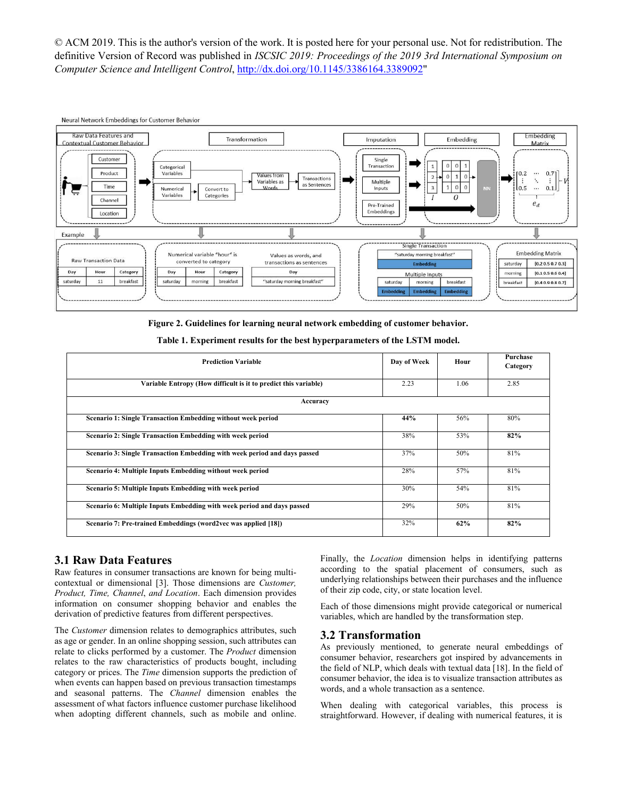

**Figure 2. Guidelines for learning neural network embedding of customer behavior.**

| <b>Prediction Variable</b>                                                | Day of Week | Hour | Purchase<br>Category |  |
|---------------------------------------------------------------------------|-------------|------|----------------------|--|
| Variable Entropy (How difficult is it to predict this variable)           | 2.23        | 1.06 | 2.85                 |  |
| Accuracy                                                                  |             |      |                      |  |
| Scenario 1: Single Transaction Embedding without week period              | 44%         | 56%  | 80%                  |  |
| Scenario 2: Single Transaction Embedding with week period                 | 38%         | 53%  | 82%                  |  |
| Scenario 3: Single Transaction Embedding with week period and days passed | 37%         | 50%  | 81%                  |  |
| Scenario 4: Multiple Inputs Embedding without week period                 | 28%         | 57%  | 81%                  |  |
| Scenario 5: Multiple Inputs Embedding with week period                    | 30%         | 54%  | 81%                  |  |
| Scenario 6: Multiple Inputs Embedding with week period and days passed    | 29%         | 50%  | 81%                  |  |
| Scenario 7: Pre-trained Embeddings (word2vec was applied [18])            | 32%         | 62%  | 82%                  |  |

|  |  | Table 1. Experiment results for the best hyperparameters of the LSTM model. |  |
|--|--|-----------------------------------------------------------------------------|--|
|  |  |                                                                             |  |

#### **3.1 Raw Data Features**

Raw features in consumer transactions are known for being multicontextual or dimensional [3]. Those dimensions are *Customer, Product, Time, Channel*, *and Location*. Each dimension provides information on consumer shopping behavior and enables the derivation of predictive features from different perspectives.

The *Customer* dimension relates to demographics attributes, such as age or gender. In an online shopping session, such attributes can relate to clicks performed by a customer. The *Product* dimension relates to the raw characteristics of products bought, including category or prices. The *Time* dimension supports the prediction of when events can happen based on previous transaction timestamps and seasonal patterns. The *Channel* dimension enables the assessment of what factors influence customer purchase likelihood when adopting different channels, such as mobile and online.

Finally, the *Location* dimension helps in identifying patterns according to the spatial placement of consumers, such as underlying relationships between their purchases and the influence of their zip code, city, or state location level.

Each of those dimensions might provide categorical or numerical variables, which are handled by the transformation step.

#### **3.2 Transformation**

As previously mentioned, to generate neural embeddings of consumer behavior, researchers got inspired by advancements in the field of NLP, which deals with textual data [18]. In the field of consumer behavior, the idea is to visualize transaction attributes as words, and a whole transaction as a sentence.

When dealing with categorical variables, this process is straightforward. However, if dealing with numerical features, it is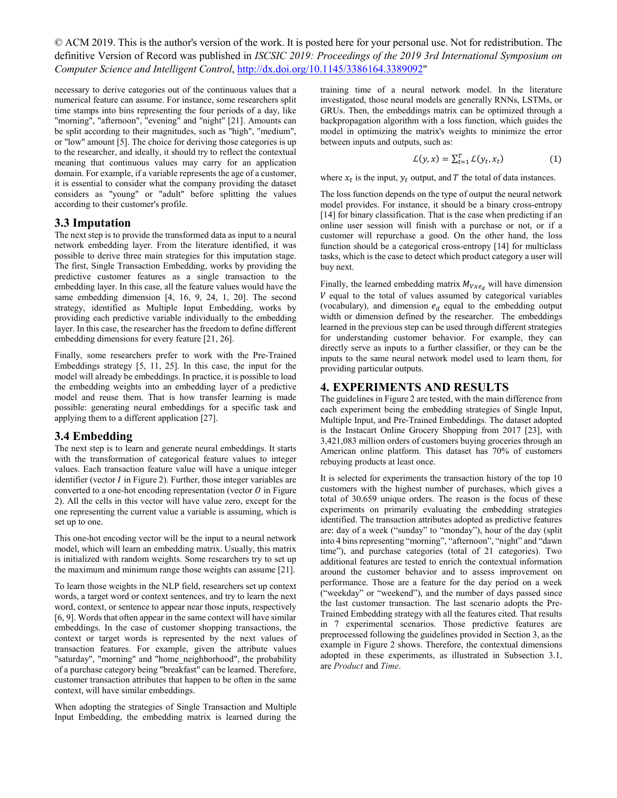necessary to derive categories out of the continuous values that a numerical feature can assume. For instance, some researchers split time stamps into bins representing the four periods of a day, like "morning", "afternoon", "evening" and "night" [21]. Amounts can be split according to their magnitudes, such as "high", "medium", or "low" amount [5]. The choice for deriving those categories is up to the researcher, and ideally, it should try to reflect the contextual meaning that continuous values may carry for an application domain. For example, if a variable represents the age of a customer, it is essential to consider what the company providing the dataset considers as "young" or "adult" before splitting the values according to their customer's profile.

#### **3.3 Imputation**

The next step is to provide the transformed data as input to a neural network embedding layer. From the literature identified, it was possible to derive three main strategies for this imputation stage. The first, Single Transaction Embedding, works by providing the predictive customer features as a single transaction to the embedding layer. In this case, all the feature values would have the same embedding dimension [4, 16, 9, 24, 1, 20]. The second strategy, identified as Multiple Input Embedding, works by providing each predictive variable individually to the embedding layer. In this case, the researcher has the freedom to define different embedding dimensions for every feature [21, 26].

Finally, some researchers prefer to work with the Pre-Trained Embeddings strategy [5, 11, 25]. In this case, the input for the model will already be embeddings. In practice, it is possible to load the embedding weights into an embedding layer of a predictive model and reuse them. That is how transfer learning is made possible: generating neural embeddings for a specific task and applying them to a different application [27].

#### **3.4 Embedding**

The next step is to learn and generate neural embeddings. It starts with the transformation of categorical feature values to integer values. Each transaction feature value will have a unique integer identifier (vector  $I$  in Figure 2). Further, those integer variables are converted to a one-hot encoding representation (vector  $O$  in Figure 2). All the cells in this vector will have value zero, except for the one representing the current value a variable is assuming, which is set up to one.

This one-hot encoding vector will be the input to a neural network model, which will learn an embedding matrix. Usually, this matrix is initialized with random weights. Some researchers try to set up the maximum and minimum range those weights can assume [21].

To learn those weights in the NLP field, researchers set up context words, a target word or context sentences, and try to learn the next word, context, or sentence to appear near those inputs, respectively [6, 9]. Words that often appear in the same context will have similar embeddings. In the case of customer shopping transactions, the context or target words is represented by the next values of transaction features. For example, given the attribute values "saturday", "morning" and "home\_neighborhood", the probability of a purchase category being "breakfast" can be learned. Therefore, customer transaction attributes that happen to be often in the same context, will have similar embeddings.

When adopting the strategies of Single Transaction and Multiple Input Embedding, the embedding matrix is learned during the

training time of a neural network model. In the literature investigated, those neural models are generally RNNs, LSTMs, or GRUs. Then, the embeddings matrix can be optimized through a backpropagation algorithm with a loss function, which guides the model in optimizing the matrix's weights to minimize the error between inputs and outputs, such as:

$$
\mathcal{L}(y, x) = \sum_{t=1}^{T} \mathcal{L}(y_t, x_t)
$$
 (1)

where  $x_t$  is the input,  $y_t$  output, and T the total of data instances.

The loss function depends on the type of output the neural network model provides. For instance, it should be a binary cross-entropy [14] for binary classification. That is the case when predicting if an online user session will finish with a purchase or not, or if a customer will repurchase a good. On the other hand, the loss function should be a categorical cross-entropy [14] for multiclass tasks, which is the case to detect which product category a user will buy next.

Finally, the learned embedding matrix  $M_{Vxe_d}$  will have dimension  $V$  equal to the total of values assumed by categorical variables (vocabulary), and dimension  $e_d$  equal to the embedding output width or dimension defined by the researcher. The embeddings learned in the previous step can be used through different strategies for understanding customer behavior. For example, they can directly serve as inputs to a further classifier, or they can be the inputs to the same neural network model used to learn them, for providing particular outputs.

#### **4. EXPERIMENTS AND RESULTS**

The guidelines in Figure 2 are tested, with the main difference from each experiment being the embedding strategies of Single Input, Multiple Input, and Pre-Trained Embeddings. The dataset adopted is the Instacart Online Grocery Shopping from 2017 [23], with 3,421,083 million orders of customers buying groceries through an American online platform. This dataset has 70% of customers rebuying products at least once.

It is selected for experiments the transaction history of the top 10 customers with the highest number of purchases, which gives a total of 30.659 unique orders. The reason is the focus of these experiments on primarily evaluating the embedding strategies identified. The transaction attributes adopted as predictive features are: day of a week ("sunday" to "monday"), hour of the day (split into 4 bins representing "morning", "afternoon", "night" and "dawn time"), and purchase categories (total of 21 categories). Two additional features are tested to enrich the contextual information around the customer behavior and to assess improvement on performance. Those are a feature for the day period on a week ("weekday" or "weekend"), and the number of days passed since the last customer transaction. The last scenario adopts the Pre-Trained Embedding strategy with all the features cited. That results in 7 experimental scenarios. Those predictive features are preprocessed following the guidelines provided in Section 3, as the example in Figure 2 shows. Therefore, the contextual dimensions adopted in these experiments, as illustrated in Subsection 3.1, are *Product* and *Time*.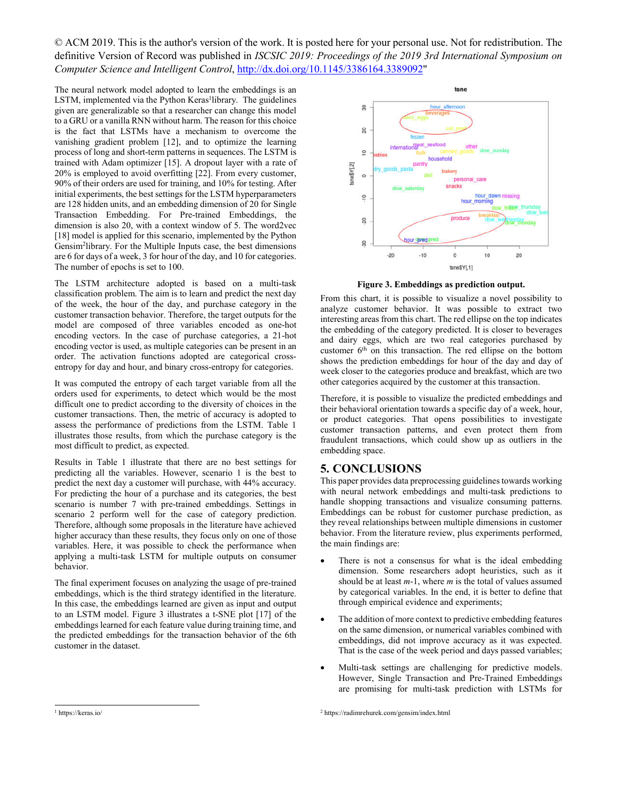The neural network model adopted to learn the embeddings is an LSTM, implemented via the Python Keras<sup>1</sup>library. The guidelines given are generalizable so that a researcher can change this model to a GRU or a vanilla RNN without harm. The reason for this choice is the fact that LSTMs have a mechanism to overcome the vanishing gradient problem [12], and to optimize the learning process of long and short-term patterns in sequences. The LSTM is trained with Adam optimizer [15]. A dropout layer with a rate of 20% is employed to avoid overfitting [22]. From every customer, 90% of their orders are used for training, and 10% for testing. After initial experiments, the best settings for the LSTM hyperparameters are 128 hidden units, and an embedding dimension of 20 for Single Transaction Embedding. For Pre-trained Embeddings, the dimension is also 20, with a context window of 5. The word2vec [18] model is applied for this scenario, implemented by the Python Gensim<sup>2</sup>library. For the Multiple Inputs case, the best dimensions are 6 for days of a week, 3 for hour of the day, and 10 for categories. The number of epochs is set to 100.

The LSTM architecture adopted is based on a multi-task classification problem. The aim is to learn and predict the next day of the week, the hour of the day, and purchase category in the customer transaction behavior. Therefore, the target outputs for the model are composed of three variables encoded as one-hot encoding vectors. In the case of purchase categories, a 21-hot encoding vector is used, as multiple categories can be present in an order. The activation functions adopted are categorical crossentropy for day and hour, and binary cross-entropy for categories.

It was computed the entropy of each target variable from all the orders used for experiments, to detect which would be the most difficult one to predict according to the diversity of choices in the customer transactions. Then, the metric of accuracy is adopted to assess the performance of predictions from the LSTM. Table 1 illustrates those results, from which the purchase category is the most difficult to predict, as expected.

Results in Table 1 illustrate that there are no best settings for predicting all the variables. However, scenario 1 is the best to predict the next day a customer will purchase, with 44% accuracy. For predicting the hour of a purchase and its categories, the best scenario is number 7 with pre-trained embeddings. Settings in scenario 2 perform well for the case of category prediction. Therefore, although some proposals in the literature have achieved higher accuracy than these results, they focus only on one of those variables. Here, it was possible to check the performance when applying a multi-task LSTM for multiple outputs on consumer behavior.

The final experiment focuses on analyzing the usage of pre-trained embeddings, which is the third strategy identified in the literature. In this case, the embeddings learned are given as input and output to an LSTM model. Figure 3 illustrates a t-SNE plot [17] of the embeddings learned for each feature value during training time, and the predicted embeddings for the transaction behavior of the 6th customer in the dataset.



**Figure 3. Embeddings as prediction output.**

From this chart, it is possible to visualize a novel possibility to analyze customer behavior. It was possible to extract two interesting areas from this chart. The red ellipse on the top indicates the embedding of the category predicted. It is closer to beverages and dairy eggs, which are two real categories purchased by customer 6<sup>th</sup> on this transaction. The red ellipse on the bottom shows the prediction embeddings for hour of the day and day of week closer to the categories produce and breakfast, which are two other categories acquired by the customer at this transaction.

Therefore, it is possible to visualize the predicted embeddings and their behavioral orientation towards a specific day of a week, hour, or product categories. That opens possibilities to investigate customer transaction patterns, and even protect them from fraudulent transactions, which could show up as outliers in the embedding space.

#### **5. CONCLUSIONS**

This paper provides data preprocessing guidelines towards working with neural network embeddings and multi-task predictions to handle shopping transactions and visualize consuming patterns. Embeddings can be robust for customer purchase prediction, as they reveal relationships between multiple dimensions in customer behavior. From the literature review, plus experiments performed, the main findings are:

- There is not a consensus for what is the ideal embedding dimension. Some researchers adopt heuristics, such as it should be at least *m*-1, where *m* is the total of values assumed by categorical variables. In the end, it is better to define that through empirical evidence and experiments;
- The addition of more context to predictive embedding features on the same dimension, or numerical variables combined with embeddings, did not improve accuracy as it was expected. That is the case of the week period and days passed variables;
- Multi-task settings are challenging for predictive models. However, Single Transaction and Pre-Trained Embeddings are promising for multi-task prediction with LSTMs for

<sup>2</sup> https://radimrehurek.com/gensim/index.html

 <sup>1</sup> https://keras.io/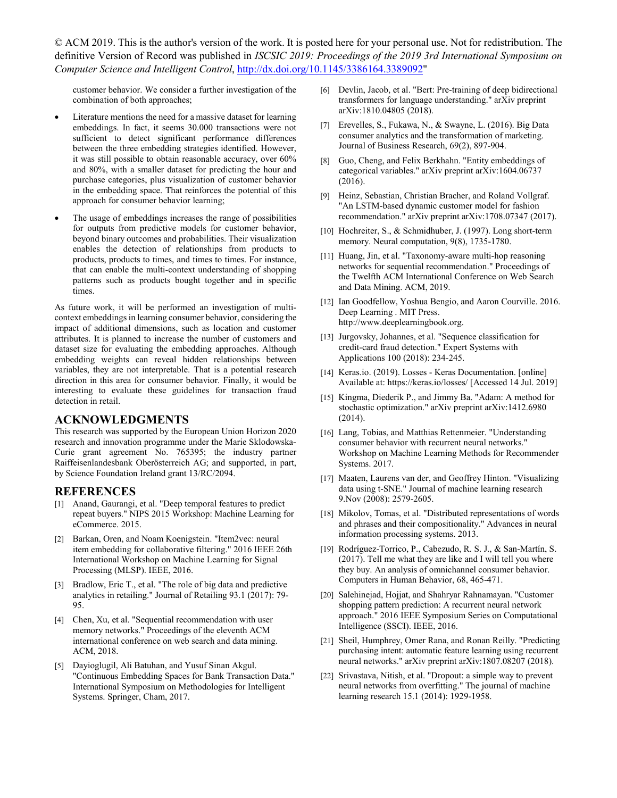customer behavior. We consider a further investigation of the combination of both approaches;

- Literature mentions the need for a massive dataset for learning embeddings. In fact, it seems 30.000 transactions were not sufficient to detect significant performance differences between the three embedding strategies identified. However, it was still possible to obtain reasonable accuracy, over 60% and 80%, with a smaller dataset for predicting the hour and purchase categories, plus visualization of customer behavior in the embedding space. That reinforces the potential of this approach for consumer behavior learning;
- The usage of embeddings increases the range of possibilities for outputs from predictive models for customer behavior, beyond binary outcomes and probabilities. Their visualization enables the detection of relationships from products to products, products to times, and times to times. For instance, that can enable the multi-context understanding of shopping patterns such as products bought together and in specific times.

As future work, it will be performed an investigation of multicontext embeddings in learning consumer behavior, considering the impact of additional dimensions, such as location and customer attributes. It is planned to increase the number of customers and dataset size for evaluating the embedding approaches. Although embedding weights can reveal hidden relationships between variables, they are not interpretable. That is a potential research direction in this area for consumer behavior. Finally, it would be interesting to evaluate these guidelines for transaction fraud detection in retail.

#### **ACKNOWLEDGMENTS**

This research was supported by the European Union Horizon 2020 research and innovation programme under the Marie Sklodowska-Curie grant agreement No. 765395; the industry partner Raiffeisenlandesbank Oberösterreich AG; and supported, in part, by Science Foundation Ireland grant 13/RC/2094.

#### **REFERENCES**

- [1] Anand, Gaurangi, et al. "Deep temporal features to predict repeat buyers." NIPS 2015 Workshop: Machine Learning for eCommerce. 2015.
- [2] Barkan, Oren, and Noam Koenigstein. "Item2vec: neural item embedding for collaborative filtering." 2016 IEEE 26th International Workshop on Machine Learning for Signal Processing (MLSP). IEEE, 2016.
- [3] Bradlow, Eric T., et al. "The role of big data and predictive analytics in retailing." Journal of Retailing 93.1 (2017): 79- 95.
- [4] Chen, Xu, et al. "Sequential recommendation with user memory networks." Proceedings of the eleventh ACM international conference on web search and data mining. ACM, 2018.
- [5] Dayioglugil, Ali Batuhan, and Yusuf Sinan Akgul. "Continuous Embedding Spaces for Bank Transaction Data." International Symposium on Methodologies for Intelligent Systems. Springer, Cham, 2017.
- [6] Devlin, Jacob, et al. "Bert: Pre-training of deep bidirectional transformers for language understanding." arXiv preprint arXiv:1810.04805 (2018).
- [7] Erevelles, S., Fukawa, N., & Swayne, L. (2016). Big Data consumer analytics and the transformation of marketing. Journal of Business Research, 69(2), 897-904.
- [8] Guo, Cheng, and Felix Berkhahn. "Entity embeddings of categorical variables." arXiv preprint arXiv:1604.06737 (2016).
- [9] Heinz, Sebastian, Christian Bracher, and Roland Vollgraf. "An LSTM-based dynamic customer model for fashion recommendation." arXiv preprint arXiv:1708.07347 (2017).
- [10] Hochreiter, S., & Schmidhuber, J. (1997). Long short-term memory. Neural computation, 9(8), 1735-1780.
- [11] Huang, Jin, et al. "Taxonomy-aware multi-hop reasoning networks for sequential recommendation." Proceedings of the Twelfth ACM International Conference on Web Search and Data Mining. ACM, 2019.
- [12] Ian Goodfellow, Yoshua Bengio, and Aaron Courville. 2016. Deep Learning . MIT Press. http://www.deeplearningbook.org.
- [13] Jurgovsky, Johannes, et al. "Sequence classification for credit-card fraud detection." Expert Systems with Applications 100 (2018): 234-245.
- [14] Keras.io. (2019). Losses Keras Documentation. [online] Available at: https://keras.io/losses/ [Accessed 14 Jul. 2019]
- [15] Kingma, Diederik P., and Jimmy Ba. "Adam: A method for stochastic optimization." arXiv preprint arXiv:1412.6980 (2014).
- [16] Lang, Tobias, and Matthias Rettenmeier. "Understanding consumer behavior with recurrent neural networks." Workshop on Machine Learning Methods for Recommender Systems. 2017.
- [17] Maaten, Laurens van der, and Geoffrey Hinton. "Visualizing data using t-SNE." Journal of machine learning research 9.Nov (2008): 2579-2605.
- [18] Mikolov, Tomas, et al. "Distributed representations of words and phrases and their compositionality." Advances in neural information processing systems. 2013.
- [19] Rodríguez-Torrico, P., Cabezudo, R. S. J., & San-Martín, S. (2017). Tell me what they are like and I will tell you where they buy. An analysis of omnichannel consumer behavior. Computers in Human Behavior, 68, 465-471.
- [20] Salehinejad, Hojjat, and Shahryar Rahnamayan. "Customer shopping pattern prediction: A recurrent neural network approach." 2016 IEEE Symposium Series on Computational Intelligence (SSCI). IEEE, 2016.
- [21] Sheil, Humphrey, Omer Rana, and Ronan Reilly. "Predicting purchasing intent: automatic feature learning using recurrent neural networks." arXiv preprint arXiv:1807.08207 (2018).
- [22] Srivastava, Nitish, et al. "Dropout: a simple way to prevent neural networks from overfitting." The journal of machine learning research 15.1 (2014): 1929-1958.